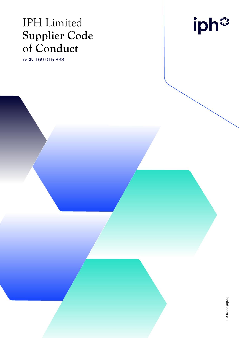## IPH Limited **Supplier Code of Conduct**

ACN 169 015 838

iph<sup>®</sup>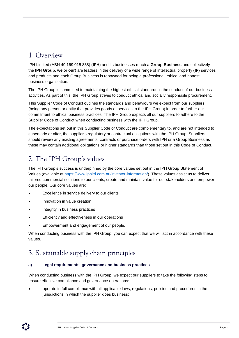### 1. Overview

IPH Limited (ABN 49 169 015 838) (**IPH**) and its businesses (each a **Group Business** and collectively the **IPH Group**, **we** or **our**) are leaders in the delivery of a wide range of intellectual property (**IP**) services and products and each Group Business is renowned for being a professional, ethical and honest business organisation.

The IPH Group is committed to maintaining the highest ethical standards in the conduct of our business activities. As part of this, the IPH Group strives to conduct ethical and socially responsible procurement.

This Supplier Code of Conduct outlines the standards and behaviours we expect from our suppliers (being any person or entity that provides goods or services to the IPH Group) in order to further our commitment to ethical business practices. The IPH Group expects all our suppliers to adhere to the Supplier Code of Conduct when conducting business with the IPH Group.

The expectations set out in this Supplier Code of Conduct are complementary to, and are not intended to supersede or alter, the supplier's regulatory or contractual obligations with the IPH Group. Suppliers should review any existing agreements, contracts or purchase orders with IPH or a Group Business as these may contain additional obligations or higher standards than those set out in this Code of Conduct.

## 2. The IPH Group's values

The IPH Group's success is underpinned by the core values set out in the IPH Group Statement of Values (available at [https://www.iphltd.com.au/investor-information/\)](https://www.iphltd.com.au/investor-information/). These values assist us to deliver tailored commercial solutions to our clients, create and maintain value for our stakeholders and empower our people. Our core values are:

- Excellence in service delivery to our clients
- Innovation in value creation
- Integrity in business practices
- Efficiency and effectiveness in our operations
- Empowerment and engagement of our people.

When conducting business with the IPH Group, you can expect that we will act in accordance with these values.

## 3. Sustainable supply chain principles

#### **a) Legal requirements, governance and business practices**

When conducting business with the IPH Group, we expect our suppliers to take the following steps to ensure effective compliance and governance operations:

• operate in full compliance with all applicable laws, regulations, policies and procedures in the jurisdictions in which the supplier does business;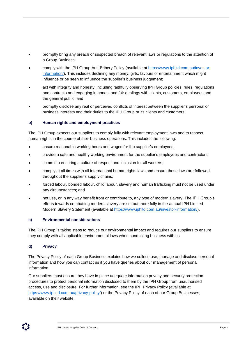- promptly bring any breach or suspected breach of relevant laws or regulations to the attention of a Group Business;
- comply with the IPH Group Anti-Bribery Policy (available at [https://www.iphltd.com.au/investor](https://www.iphltd.com.au/investor-information/)[information/\)](https://www.iphltd.com.au/investor-information/). This includes declining any money, gifts, favours or entertainment which might influence or be seen to influence the supplier's business judgement;
- act with integrity and honesty, including faithfully observing IPH Group policies, rules, regulations and contracts and engaging in honest and fair dealings with clients, customers, employees and the general public; and
- promptly disclose any real or perceived conflicts of interest between the supplier's personal or business interests and their duties to the IPH Group or its clients and customers.

#### **b) Human rights and employment practices**

The IPH Group expects our suppliers to comply fully with relevant employment laws and to respect human rights in the course of their business operations. This includes the following:

- ensure reasonable working hours and wages for the supplier's employees;
- provide a safe and healthy working environment for the supplier's employees and contractors;
- commit to ensuring a culture of respect and inclusion for all workers;
- comply at all times with all international human rights laws and ensure those laws are followed throughout the supplier's supply chains;
- forced labour, bonded labour, child labour, slavery and human trafficking must not be used under any circumstances; and
- not use, or in any way benefit from or contribute to, any type of modern slavery. The IPH Group's efforts towards combatting modern slavery are set out more fully in the annual IPH Limited Modern Slavery Statement (available at [https://www.iphltd.com.au/investor-information/\)](https://www.iphltd.com.au/investor-information/).

#### **c) Environmental considerations**

The IPH Group is taking steps to reduce our environmental impact and requires our suppliers to ensure they comply with all applicable environmental laws when conducting business with us.

#### **d) Privacy**

The Privacy Policy of each Group Business explains how we collect, use, manage and disclose personal information and how you can contact us if you have queries about our management of personal information.

Our suppliers must ensure they have in place adequate information privacy and security protection procedures to protect personal information disclosed to them by the IPH Group from unauthorised access, use and disclosure. For further information, see the IPH Privacy Policy (available at [https://www.iphltd.com.au/privacy-policy/\)](https://www.iphltd.com.au/privacy-policy/) or the Privacy Policy of each of our Group Businesses, available on their website.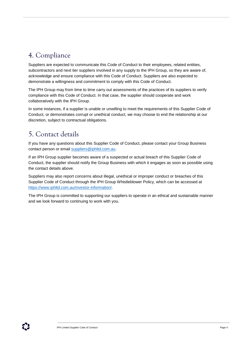## 4. Compliance

Suppliers are expected to communicate this Code of Conduct to their employees, related entities, subcontractors and next tier suppliers involved in any supply to the IPH Group, so they are aware of, acknowledge and ensure compliance with this Code of Conduct. Suppliers are also expected to demonstrate a willingness and commitment to comply with this Code of Conduct.

The IPH Group may from time to time carry out assessments of the practices of its suppliers to verify compliance with this Code of Conduct. In that case, the supplier should cooperate and work collaboratively with the IPH Group.

In some instances, if a supplier is unable or unwilling to meet the requirements of this Supplier Code of Conduct, or demonstrates corrupt or unethical conduct, we may choose to end the relationship at our discretion, subject to contractual obligations.

## 5. Contact details

If you have any questions about this Supplier Code of Conduct, please contact your Group Business contact person or email [suppliers@iphltd.com.au.](mailto:suppliers@iphltd.com.au)

If an IPH Group supplier becomes aware of a suspected or actual breach of this Supplier Code of Conduct, the supplier should notify the Group Business with which it engages as soon as possible using the contact details above.

Suppliers may also report concerns about illegal, unethical or improper conduct or breaches of this Supplier Code of Conduct through the IPH Group Whistleblower Policy, which can be accessed at [https://www.iphltd.com.au/investor-information/.](https://www.iphltd.com.au/investor-information/)

The IPH Group is committed to supporting our suppliers to operate in an ethical and sustainable manner and we look forward to continuing to work with you.